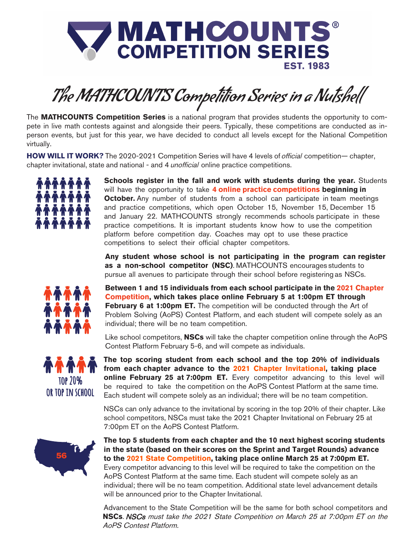

# The MATHCOUNTS Competition Series in a Nutshell

The **MATHCOUNTS Competition Series** is a national program that provides students the opportunity to compete in live math contests against and alongside their peers. Typically, these competitions are conducted as inperson events, but just for this year, we have decided to conduct all levels except for the National Competition virtually.

**HOW WILL IT WORK?** The 2020-2021 Competition Series will have 4 levels of official competition— chapter, chapter invitational, state and national - and 4 *unofficial* online practice competitions.



**Schools register in the fall and work with students during the year.** Students will have the opportunity to take **4 online practice competitions beginning in October.** Any number of students from a school can participate in team meetings and practice competitions, which open October 15, November 15, December 15 and January 22. MATHCOUNTS strongly recommends schools participate in these practice competitions. It is important students know how to use the competition platform before competition day. Coaches may opt to use these practice competitions to select their official chapter competitors.

**Any student whose school is not participating in the program can register as a non-school competitor (NSC)**. MATHCOUNTS encourages students to pursue all avenues to participate through their school before registering as NSCs.



**Between 1 and 15 individuals from each school participate in the 2021 Chapter Competition, which takes place online February 5 at 1:00pm ET through February 6 at 1:00pm ET.** The competition will be conducted through the Art of Problem Solving (AoPS) Contest Platform, and each student will compete solely as an individual; there will be no team competition.

Like school competitors, **NSCs** will take the chapter competition online through the AoPS Contest Platform February 5-6, and will compete as individuals.



**The top scoring student from each school and the top 20% of individuals from each chapter advance to the 2021 Chapter Invitational, taking place online February 25 at 7:00pm ET.** Every competitor advancing to this level will be required to take the competition on the AoPS Contest Platform at the same time. Each student will compete solely as an individual; there will be no team competition.

NSCs can only advance to the invitational by scoring in the top 20% of their chapter. Like school competitors, NSCs must take the 2021 Chapter Invitational on February 25 at 7:00pm ET on the AoPS Contest Platform.



**The top 5 students from each chapter and the 10 next highest scoring students in the state (based on their scores on the Sprint and Target Rounds) advance to the 2021 State Competition, taking place online March 25 at 7:00pm ET.** Every competitor advancing to this level will be required to take the competition on the AoPS Contest Platform at the same time. Each student will compete solely as an individual; there will be no team competition. Additional state level advancement details will be announced prior to the Chapter Invitational.

Advancement to the State Competition will be the same for both school competitors and **NSCs**. NSCs must take the 2021 State Competition on March 25 at 7:00pm ET on the AoPS Contest Platform.